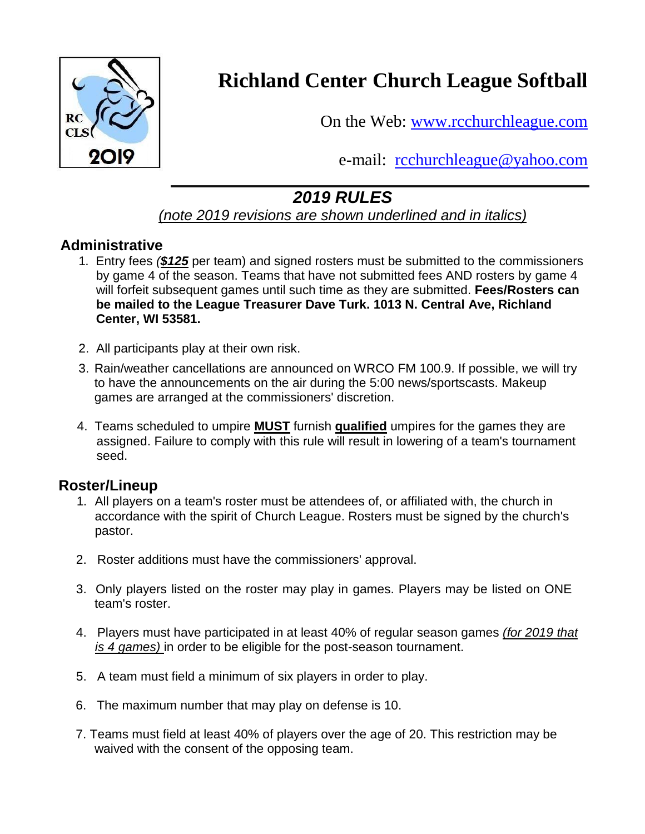

# **Richland Center Church League Softball**

On the Web: [www.rcchurchleague.com](http://www.rcchurchleague.com/)

e-mail: [rcchurchleague@yahoo.com](mailto:rcchurchleague@yahoo.com)

# *2019 RULES*

## *(note 2019 revisions are shown underlined and in italics)*

#### **Administrative**

- 1. Entry fees *(\$125* per team) and signed rosters must be submitted to the commissioners by game 4 of the season. Teams that have not submitted fees AND rosters by game 4 will forfeit subsequent games until such time as they are submitted. **Fees/Rosters can be mailed to the League Treasurer Dave Turk. 1013 N. Central Ave, Richland Center, WI 53581.**
- 2. All participants play at their own risk.
- 3. Rain/weather cancellations are announced on WRCO FM 100.9. If possible, we will try to have the announcements on the air during the 5:00 news/sportscasts. Makeup games are arranged at the commissioners' discretion.
- 4. Teams scheduled to umpire **MUST** furnish **qualified** umpires for the games they are assigned. Failure to comply with this rule will result in lowering of a team's tournament seed.

# **Roster/Lineup**

- 1. All players on a team's roster must be attendees of, or affiliated with, the church in accordance with the spirit of Church League. Rosters must be signed by the church's pastor.
- 2. Roster additions must have the commissioners' approval.
- 3. Only players listed on the roster may play in games. Players may be listed on ONE team's roster.
- 4. Players must have participated in at least 40% of regular season games *(for 2019 that is 4 games)* in order to be eligible for the post-season tournament.
- 5. A team must field a minimum of six players in order to play.
- 6. The maximum number that may play on defense is 10.
- 7. Teams must field at least 40% of players over the age of 20. This restriction may be waived with the consent of the opposing team.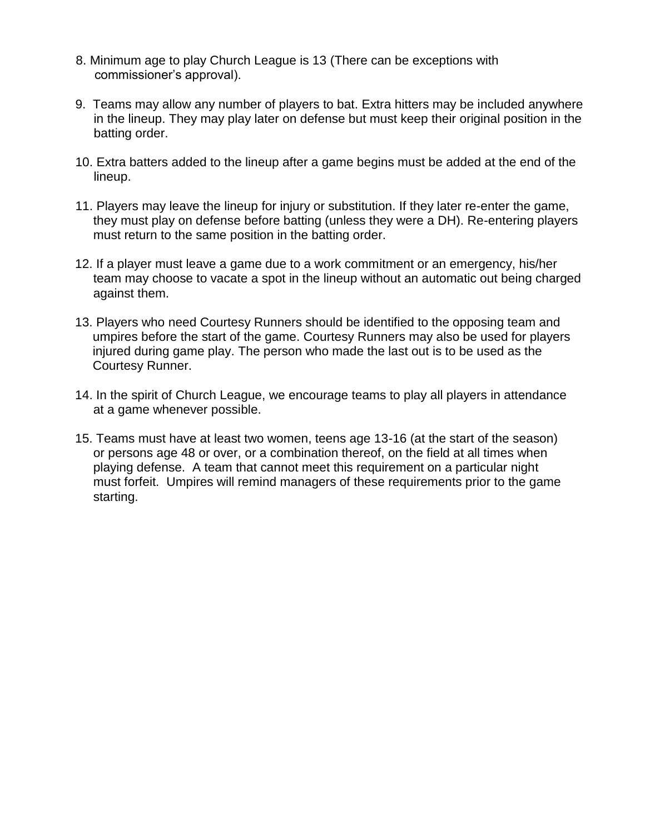- 8. Minimum age to play Church League is 13 (There can be exceptions with commissioner's approval).
- 9. Teams may allow any number of players to bat. Extra hitters may be included anywhere in the lineup. They may play later on defense but must keep their original position in the batting order.
- 10. Extra batters added to the lineup after a game begins must be added at the end of the lineup.
- 11. Players may leave the lineup for injury or substitution. If they later re-enter the game, they must play on defense before batting (unless they were a DH). Re-entering players must return to the same position in the batting order.
- 12. If a player must leave a game due to a work commitment or an emergency, his/her team may choose to vacate a spot in the lineup without an automatic out being charged against them.
- 13. Players who need Courtesy Runners should be identified to the opposing team and umpires before the start of the game. Courtesy Runners may also be used for players injured during game play. The person who made the last out is to be used as the Courtesy Runner.
- 14. In the spirit of Church League, we encourage teams to play all players in attendance at a game whenever possible.
- 15. Teams must have at least two women, teens age 13-16 (at the start of the season) or persons age 48 or over, or a combination thereof, on the field at all times when playing defense. A team that cannot meet this requirement on a particular night must forfeit. Umpires will remind managers of these requirements prior to the game starting.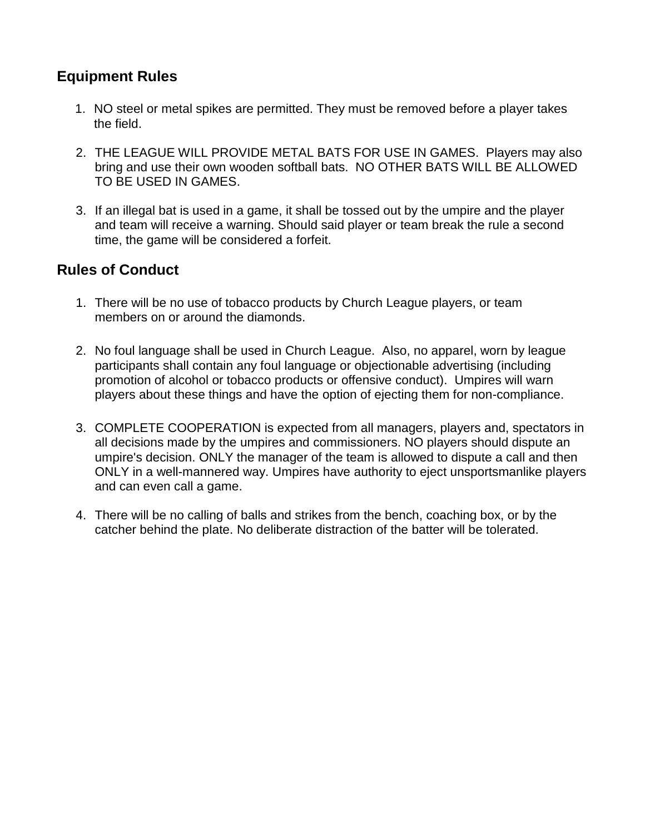## **Equipment Rules**

- 1. NO steel or metal spikes are permitted. They must be removed before a player takes the field.
- 2. THE LEAGUE WILL PROVIDE METAL BATS FOR USE IN GAMES. Players may also bring and use their own wooden softball bats. NO OTHER BATS WILL BE ALLOWED TO BE USED IN GAMES.
- 3. If an illegal bat is used in a game, it shall be tossed out by the umpire and the player and team will receive a warning. Should said player or team break the rule a second time, the game will be considered a forfeit.

#### **Rules of Conduct**

- 1. There will be no use of tobacco products by Church League players, or team members on or around the diamonds.
- 2. No foul language shall be used in Church League. Also, no apparel, worn by league participants shall contain any foul language or objectionable advertising (including promotion of alcohol or tobacco products or offensive conduct). Umpires will warn players about these things and have the option of ejecting them for non-compliance.
- 3. COMPLETE COOPERATION is expected from all managers, players and, spectators in all decisions made by the umpires and commissioners. NO players should dispute an umpire's decision. ONLY the manager of the team is allowed to dispute a call and then ONLY in a well-mannered way. Umpires have authority to eject unsportsmanlike players and can even call a game.
- 4. There will be no calling of balls and strikes from the bench, coaching box, or by the catcher behind the plate. No deliberate distraction of the batter will be tolerated.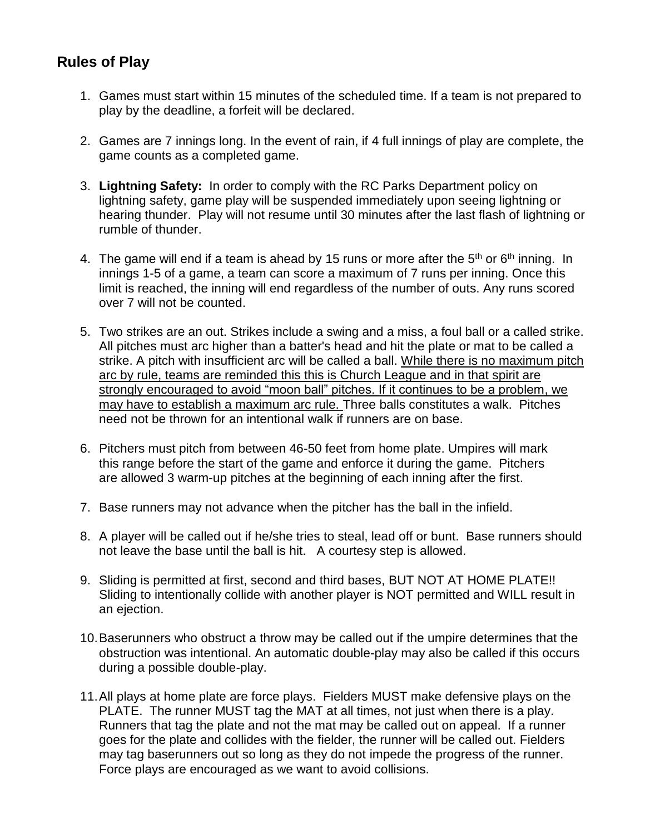#### **Rules of Play**

- 1. Games must start within 15 minutes of the scheduled time. If a team is not prepared to play by the deadline, a forfeit will be declared.
- 2. Games are 7 innings long. In the event of rain, if 4 full innings of play are complete, the game counts as a completed game.
- 3. **Lightning Safety:** In order to comply with the RC Parks Department policy on lightning safety, game play will be suspended immediately upon seeing lightning or hearing thunder. Play will not resume until 30 minutes after the last flash of lightning or rumble of thunder.
- 4. The game will end if a team is ahead by 15 runs or more after the  $5<sup>th</sup>$  or  $6<sup>th</sup>$  inning. In innings 1-5 of a game, a team can score a maximum of 7 runs per inning. Once this limit is reached, the inning will end regardless of the number of outs. Any runs scored over 7 will not be counted.
- 5. Two strikes are an out. Strikes include a swing and a miss, a foul ball or a called strike. All pitches must arc higher than a batter's head and hit the plate or mat to be called a strike. A pitch with insufficient arc will be called a ball. While there is no maximum pitch arc by rule, teams are reminded this this is Church League and in that spirit are strongly encouraged to avoid "moon ball" pitches. If it continues to be a problem, we may have to establish a maximum arc rule. Three balls constitutes a walk. Pitches need not be thrown for an intentional walk if runners are on base.
- 6. Pitchers must pitch from between 46-50 feet from home plate. Umpires will mark this range before the start of the game and enforce it during the game. Pitchers are allowed 3 warm-up pitches at the beginning of each inning after the first.
- 7. Base runners may not advance when the pitcher has the ball in the infield.
- 8. A player will be called out if he/she tries to steal, lead off or bunt. Base runners should not leave the base until the ball is hit. A courtesy step is allowed.
- 9. Sliding is permitted at first, second and third bases, BUT NOT AT HOME PLATE!! Sliding to intentionally collide with another player is NOT permitted and WILL result in an ejection.
- 10.Baserunners who obstruct a throw may be called out if the umpire determines that the obstruction was intentional. An automatic double-play may also be called if this occurs during a possible double-play.
- 11.All plays at home plate are force plays. Fielders MUST make defensive plays on the PLATE. The runner MUST tag the MAT at all times, not just when there is a play. Runners that tag the plate and not the mat may be called out on appeal. If a runner goes for the plate and collides with the fielder, the runner will be called out. Fielders may tag baserunners out so long as they do not impede the progress of the runner. Force plays are encouraged as we want to avoid collisions.